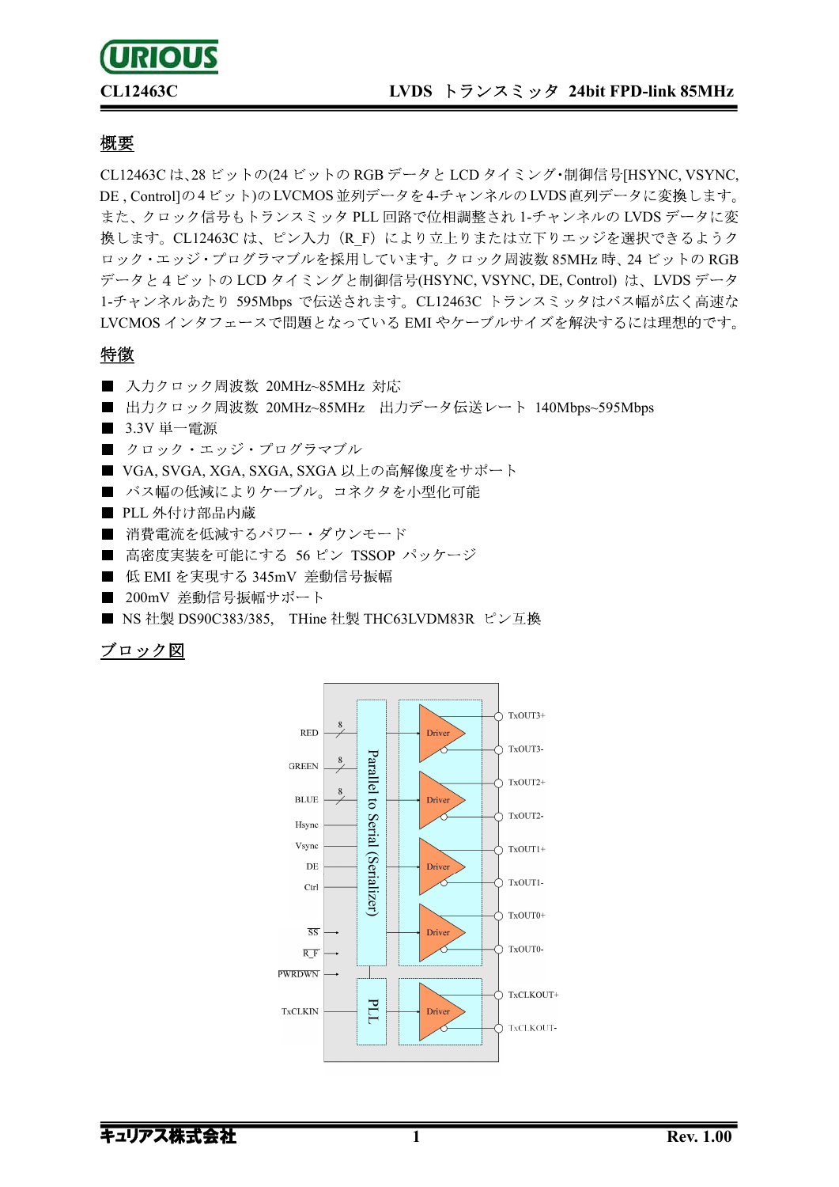# **URIOUS**

# CL12463C LVDS トランスミッタ 24bit FPD-link 85MHz

# 概要

CL12463C は、28 ビットの(24 ビットの RGB データと LCD タイミング・制御信号[HSYNC, VSYNC, DE, Controllの4ビット)のLVCMOS並列データを4-チャンネルのLVDS直列データに変換します。 また、クロック信号もトランスミッタ PLL 回路で位相調整され 1-チャンネルの LVDS データに変 換します。CL12463C は、ピン入力 (R F) により立上りまたは立下りエッジを選択できるようク ロック·エッジ·プログラマブルを採用しています。クロック周波数 85MHz 時、24 ビットの RGB データと4ビットの LCD タイミングと制御信号(HSYNC, VSYNC, DE, Control) は、LVDS データ 1-チャンネルあたり 595Mbps で伝送されます。CL12463C トランスミッタはバス幅が広く高速な LVCMOS インタフェースで問題となっている EMI やケーブルサイズを解決するには理想的です。

# 特徴

- 入力クロック周波数 20MHz~85MHz 対応
- 出力クロック周波数 20MHz~85MHz 出力データ伝送レート 140Mbps~595Mbps
- 3.3V 単一雷源
- クロック・エッジ・プログラマブル
- VGA, SVGA, XGA, SXGA, SXGA 以上の高解像度をサポート
- バス幅の低減によりケーブル。コネクタを小型化可能
- PLL 外付け部品内蔵
- 消費雷流を低減するパワー・ダウンモード
- 高密度実装を可能にする 56 ピン TSSOP パッケージ
- 低 EMI を実現する 345mV 差動信号振幅
- 200mV 差動信号振幅サポート
- NS 社製 DS90C383/385, THine 社製 THC63LVDM83R ピン互換

# ブロック図

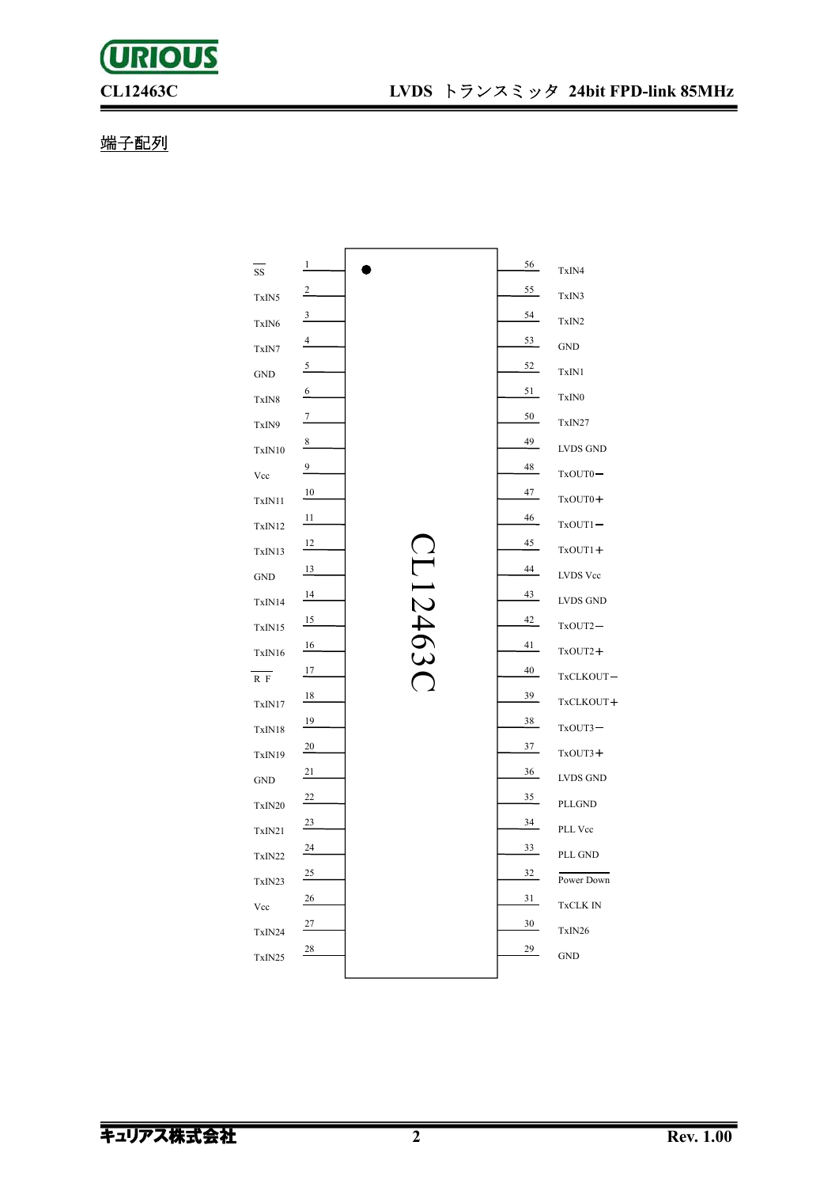